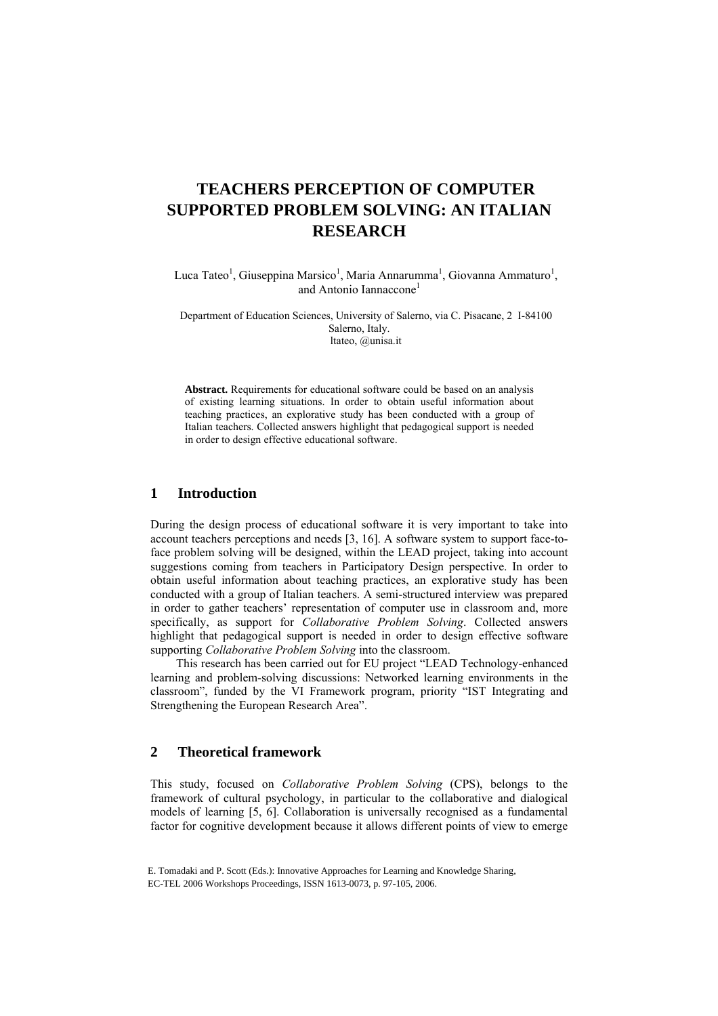# **TEACHERS PERCEPTION OF COMPUTER SUPPORTED PROBLEM SOLVING: AN ITALIAN RESEARCH**

Luca Tateo<sup>1</sup>, Giuseppina Marsico<sup>1</sup>, Maria Annarumma<sup>1</sup>, Giovanna Ammaturo<sup>1</sup>, and Antonio Iannaccone<sup>1</sup>

Department of Education Sciences, University of Salerno, via C. Pisacane, 2 I-84100 Salerno, Italy. ltateo, @unisa.it

**Abstract.** Requirements for educational software could be based on an analysis of existing learning situations. In order to obtain useful information about teaching practices, an explorative study has been conducted with a group of Italian teachers. Collected answers highlight that pedagogical support is needed in order to design effective educational software.

# **1 Introduction**

During the design process of educational software it is very important to take into account teachers perceptions and needs [3, 16]. A software system to support face-toface problem solving will be designed, within the LEAD project, taking into account suggestions coming from teachers in Participatory Design perspective. In order to obtain useful information about teaching practices, an explorative study has been conducted with a group of Italian teachers. A semi-structured interview was prepared in order to gather teachers' representation of computer use in classroom and, more specifically, as support for *Collaborative Problem Solving*. Collected answers highlight that pedagogical support is needed in order to design effective software supporting *Collaborative Problem Solving* into the classroom.

This research has been carried out for EU project "LEAD Technology-enhanced learning and problem-solving discussions: Networked learning environments in the classroom", funded by the VI Framework program, priority "IST Integrating and Strengthening the European Research Area".

### **2 Theoretical framework**

This study, focused on *Collaborative Problem Solving* (CPS), belongs to the framework of cultural psychology, in particular to the collaborative and dialogical models of learning [5, 6]. Collaboration is universally recognised as a fundamental factor for cognitive development because it allows different points of view to emerge

E. Tomadaki and P. Scott (Eds.): Innovative Approaches for Learning and Knowledge Sharing, EC-TEL 2006 Workshops Proceedings, ISSN 1613-0073, p. 97-105, 2006.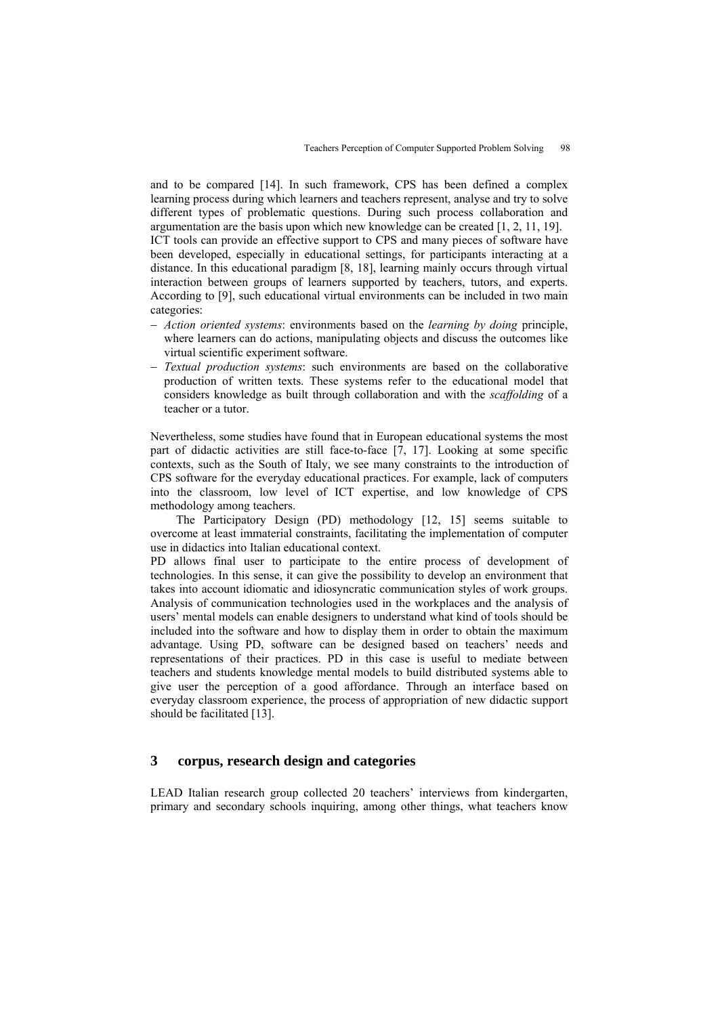and to be compared [14]. In such framework, CPS has been defined a complex learning process during which learners and teachers represent, analyse and try to solve different types of problematic questions. During such process collaboration and argumentation are the basis upon which new knowledge can be created [1, 2, 11, 19]. ICT tools can provide an effective support to CPS and many pieces of software have been developed, especially in educational settings, for participants interacting at a distance. In this educational paradigm [8, 18], learning mainly occurs through virtual interaction between groups of learners supported by teachers, tutors, and experts. According to [9], such educational virtual environments can be included in two main categories:

- − *Action oriented systems*: environments based on the *learning by doing* principle, where learners can do actions, manipulating objects and discuss the outcomes like virtual scientific experiment software.
- − *Textual production systems*: such environments are based on the collaborative production of written texts. These systems refer to the educational model that considers knowledge as built through collaboration and with the *scaffolding* of a teacher or a tutor.

Nevertheless, some studies have found that in European educational systems the most part of didactic activities are still face-to-face [7, 17]. Looking at some specific contexts, such as the South of Italy, we see many constraints to the introduction of CPS software for the everyday educational practices. For example, lack of computers into the classroom, low level of ICT expertise, and low knowledge of CPS methodology among teachers.

The Participatory Design (PD) methodology [12, 15] seems suitable to overcome at least immaterial constraints, facilitating the implementation of computer use in didactics into Italian educational context.

PD allows final user to participate to the entire process of development of technologies. In this sense, it can give the possibility to develop an environment that takes into account idiomatic and idiosyncratic communication styles of work groups. Analysis of communication technologies used in the workplaces and the analysis of users' mental models can enable designers to understand what kind of tools should be included into the software and how to display them in order to obtain the maximum advantage. Using PD, software can be designed based on teachers' needs and representations of their practices. PD in this case is useful to mediate between teachers and students knowledge mental models to build distributed systems able to give user the perception of a good affordance. Through an interface based on everyday classroom experience, the process of appropriation of new didactic support should be facilitated [13].

# **3 corpus, research design and categories**

LEAD Italian research group collected 20 teachers' interviews from kindergarten, primary and secondary schools inquiring, among other things, what teachers know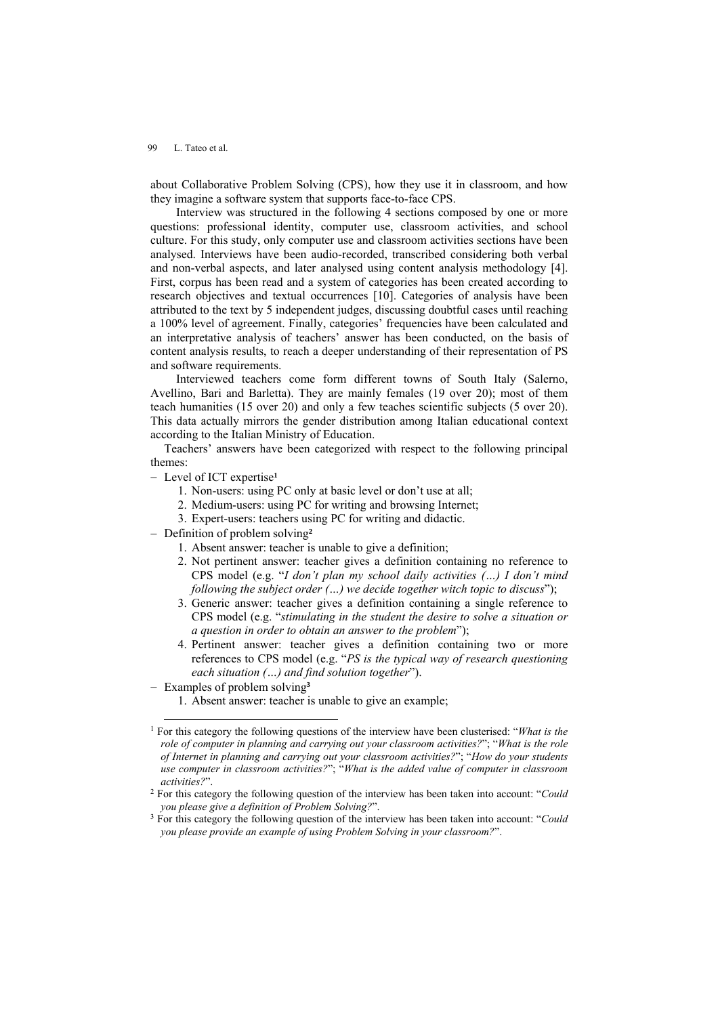about Collaborative Problem Solving (CPS), how they use it in classroom, and how they imagine a software system that supports face-to-face CPS.

Interview was structured in the following 4 sections composed by one or more questions: professional identity, computer use, classroom activities, and school culture. For this study, only computer use and classroom activities sections have been analysed. Interviews have been audio-recorded, transcribed considering both verbal and non-verbal aspects, and later analysed using content analysis methodology [4]. First, corpus has been read and a system of categories has been created according to research objectives and textual occurrences [10]. Categories of analysis have been attributed to the text by 5 independent judges, discussing doubtful cases until reaching a 100% level of agreement. Finally, categories' frequencies have been calculated and an interpretative analysis of teachers' answer has been conducted, on the basis of content analysis results, to reach a deeper understanding of their representation of PS and software requirements.

Interviewed teachers come form different towns of South Italy (Salerno, Avellino, Bari and Barletta). They are mainly females (19 over 20); most of them teach humanities (15 over 20) and only a few teaches scientific subjects (5 over 20). This data actually mirrors the gender distribution among Italian educational context according to the Italian Ministry of Education.

Teachers' answers have been categorized with respect to the following principal themes:

- − Level of ICT expertise**[1](#page-2-0)**
	- 1. Non-users: using PC only at basic level or don't use at all;
	- 2. Medium-users: using PC for writing and browsing Internet;
	- 3. Expert-users: teachers using PC for writing and didactic.
- − Definition of problem solving**[2](#page-2-1)**
	- 1. Absent answer: teacher is unable to give a definition;
	- 2. Not pertinent answer: teacher gives a definition containing no reference to CPS model (e.g. "*I don't plan my school daily activities (…) I don't mind following the subject order (…) we decide together witch topic to discuss*");
	- 3. Generic answer: teacher gives a definition containing a single reference to CPS model (e.g. "*stimulating in the student the desire to solve a situation or a question in order to obtain an answer to the problem*");
	- 4. Pertinent answer: teacher gives a definition containing two or more references to CPS model (e.g. "*PS is the typical way of research questioning each situation (…) and find solution together*").
- − Examples of problem solving**[3](#page-2-2)**
	- 1. Absent answer: teacher is unable to give an example;

<span id="page-2-0"></span> <sup>1</sup> For this category the following questions of the interview have been clusterised: "*What is the role of computer in planning and carrying out your classroom activities?*"; "*What is the role of Internet in planning and carrying out your classroom activities?*"; "*How do your students use computer in classroom activities?*"; "*What is the added value of computer in classroom activities?*". 2 For this category the following question of the interview has been taken into account: "*Could* 

<span id="page-2-1"></span>*you please give a definition of Problem Solving?"*.<br><sup>3</sup> For this category the following question of the interview has been taken into account: "*Could* 

<span id="page-2-2"></span>*you please provide an example of using Problem Solving in your classroom?*".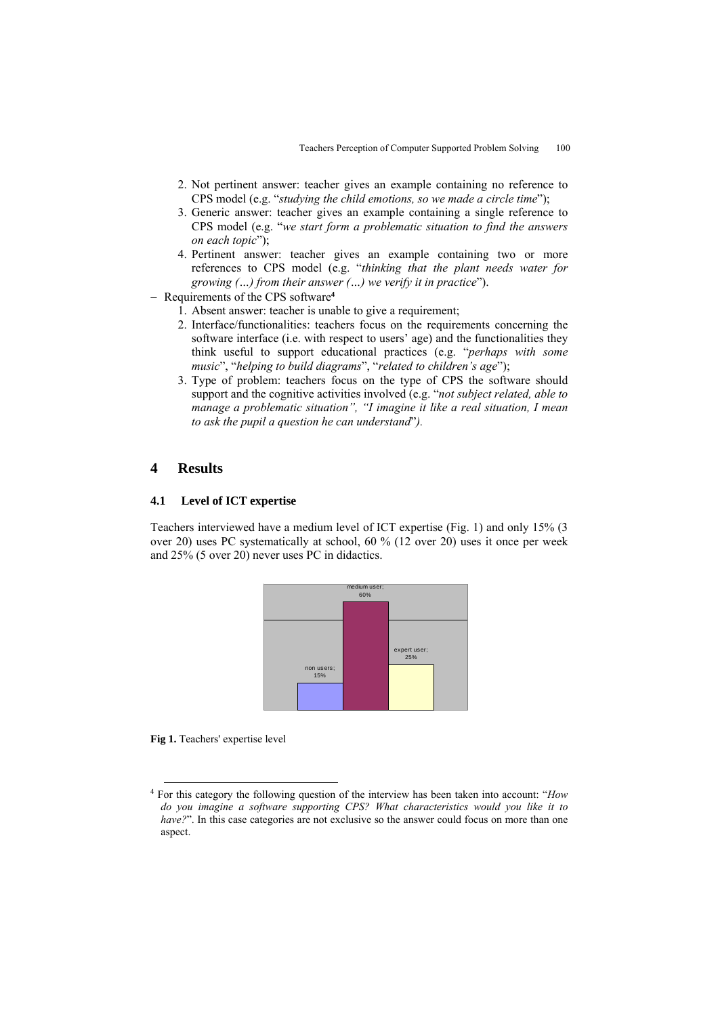- 2. Not pertinent answer: teacher gives an example containing no reference to CPS model (e.g. "*studying the child emotions, so we made a circle time*");
- 3. Generic answer: teacher gives an example containing a single reference to CPS model (e.g. "*we start form a problematic situation to find the answers on each topic*");
- 4. Pertinent answer: teacher gives an example containing two or more references to CPS model (e.g. "*thinking that the plant needs water for growing (…) from their answer (…) we verify it in practice*").
- − Requirements of the CPS software**[4](#page-3-0)**
	- 1. Absent answer: teacher is unable to give a requirement;
	- 2. Interface/functionalities: teachers focus on the requirements concerning the software interface (i.e. with respect to users' age) and the functionalities they think useful to support educational practices (e.g. "*perhaps with some music*", "*helping to build diagrams*", "*related to children's age*");
	- 3. Type of problem: teachers focus on the type of CPS the software should support and the cognitive activities involved (e.g. "*not subject related, able to manage a problematic situation", "I imagine it like a real situation, I mean to ask the pupil a question he can understand*"*).*

# **4 Results**

#### **4.1 Level of ICT expertise**

Teachers interviewed have a medium level of ICT expertise (Fig. 1) and only 15% (3 over 20) uses PC systematically at school, 60 % (12 over 20) uses it once per week and 25% (5 over 20) never uses PC in didactics.



**Fig 1.** Teachers' expertise level

<span id="page-3-0"></span> <sup>4</sup> For this category the following question of the interview has been taken into account: "*How do you imagine a software supporting CPS? What characteristics would you like it to have?*". In this case categories are not exclusive so the answer could focus on more than one aspect.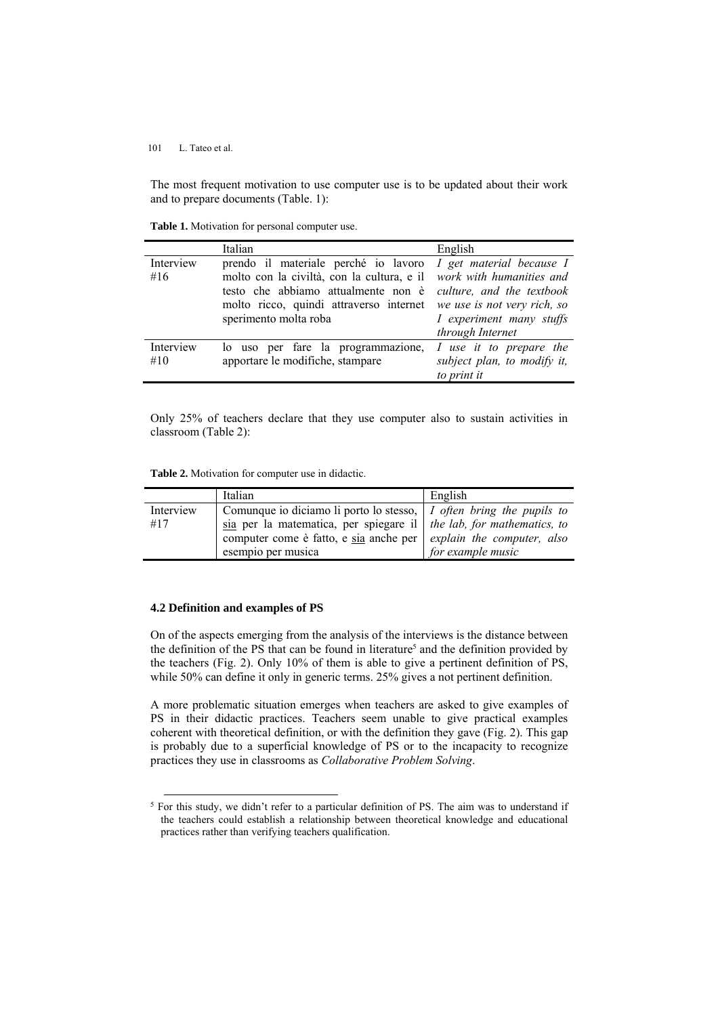The most frequent motivation to use computer use is to be updated about their work and to prepare documents (Table. 1):

**Table 1.** Motivation for personal computer use.

|                  | Italian                                                                                                                                                                                                                | English                                                                                                                              |
|------------------|------------------------------------------------------------------------------------------------------------------------------------------------------------------------------------------------------------------------|--------------------------------------------------------------------------------------------------------------------------------------|
| Interview<br>#16 | prendo il materiale perché io lavoro I get material because I<br>molto con la civiltà, con la cultura, e il<br>testo che abbiamo attualmente non è<br>molto ricco, quindi attraverso internet<br>sperimento molta roba | work with humanities and<br>culture, and the textbook<br>we use is not very rich, so<br>I experiment many stuffs<br>through Internet |
| Interview<br>#10 | lo uso per fare la programmazione,<br>apportare le modifiche, stampare                                                                                                                                                 | I use it to prepare the<br>subject plan, to modify it,<br>to print it                                                                |

Only 25% of teachers declare that they use computer also to sustain activities in classroom (Table 2):

**Table 2.** Motivation for computer use in didactic.

|           | Italian                                                                                   | English           |
|-----------|-------------------------------------------------------------------------------------------|-------------------|
| Interview | Comunque io diciamo li porto lo stesso,   I often bring the pupils to                     |                   |
| #17       | $\overline{\text{via}}$ per la matematica, per spiegare il   the lab, for mathematics, to |                   |
|           | computer come è fatto, e sia anche per $\vert$ <i>explain the computer, also</i>          |                   |
|           | esempio per musica                                                                        | for example music |

#### **4.2 Definition and examples of PS**

On of the aspects emerging from the analysis of the interviews is the distance between the definition of the PS that can be found in literature<sup>5</sup> and the definition provided by the teachers (Fig. 2). Only 10% of them is able to give a pertinent definition of PS, while 50% can define it only in generic terms. 25% gives a not pertinent definition.

A more problematic situation emerges when teachers are asked to give examples of PS in their didactic practices. Teachers seem unable to give practical examples coherent with theoretical definition, or with the definition they gave (Fig. 2). This gap is probably due to a superficial knowledge of PS or to the incapacity to recognize practices they use in classrooms as *Collaborative Problem Solving*.

<span id="page-4-0"></span><sup>&</sup>lt;sup>5</sup> For this study, we didn't refer to a particular definition of PS. The aim was to understand if the teachers could establish a relationship between theoretical knowledge and educational practices rather than verifying teachers qualification.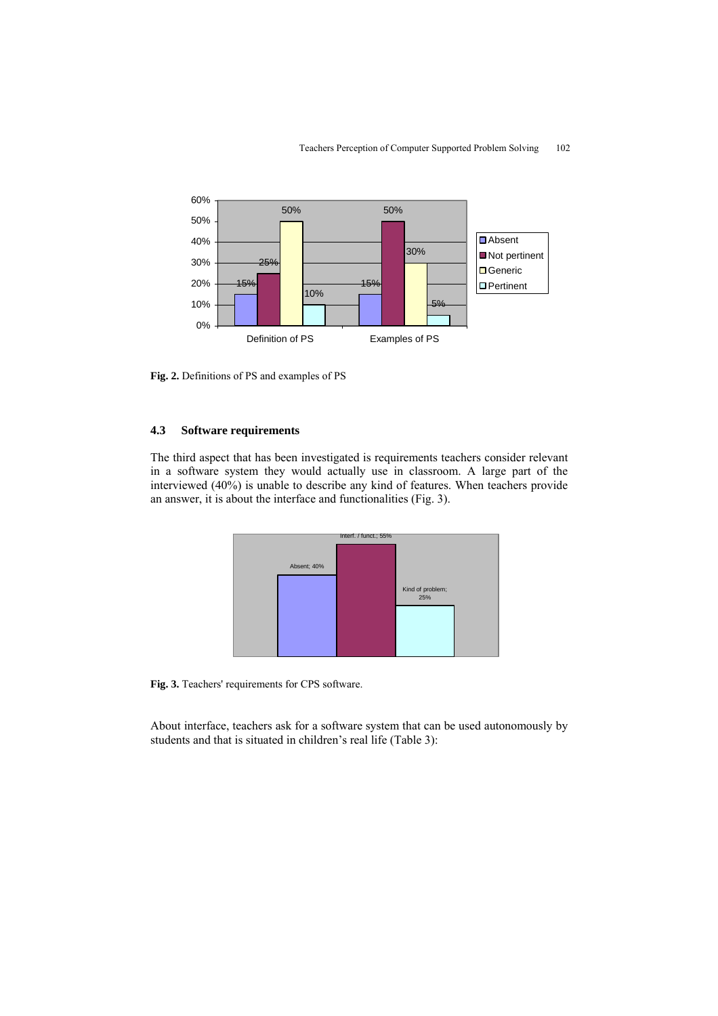

**Fig. 2.** Definitions of PS and examples of PS

### **4.3 Software requirements**

The third aspect that has been investigated is requirements teachers consider relevant in a software system they would actually use in classroom. A large part of the interviewed (40%) is unable to describe any kind of features. When teachers provide an answer, it is about the interface and functionalities (Fig. 3).



**Fig. 3.** Teachers' requirements for CPS software.

About interface, teachers ask for a software system that can be used autonomously by students and that is situated in children's real life (Table 3):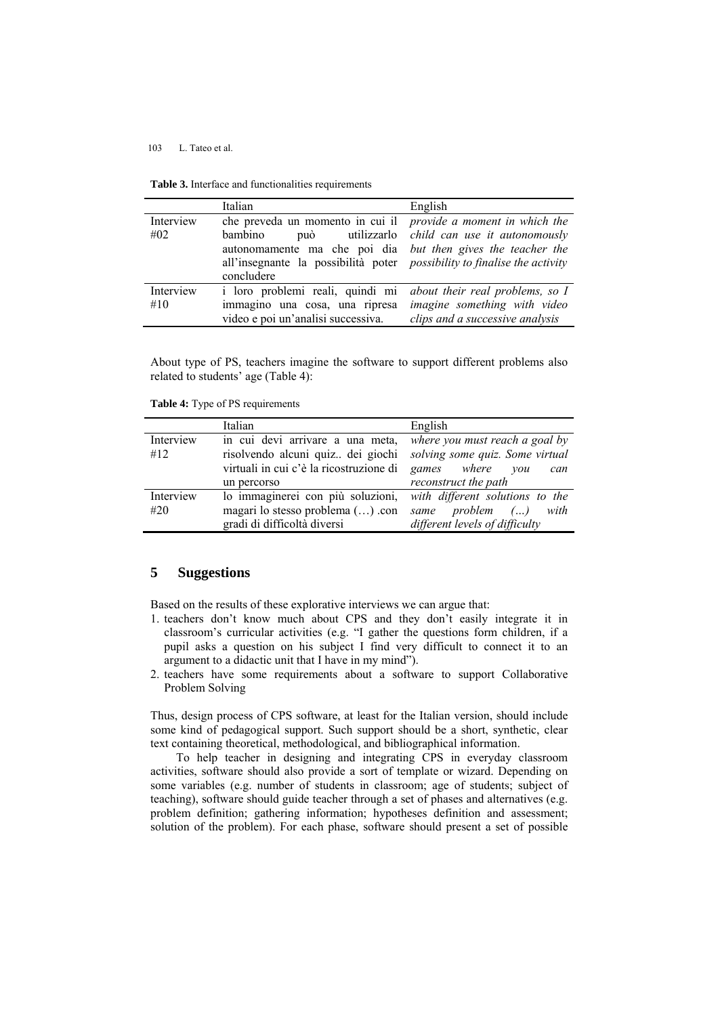|  |  | <b>Table 3.</b> Interface and functionalities requirements |  |
|--|--|------------------------------------------------------------|--|
|--|--|------------------------------------------------------------|--|

|           | Italian                                                                         | English                                              |
|-----------|---------------------------------------------------------------------------------|------------------------------------------------------|
| Interview | che preveda un momento in cui il <i>provide a moment in which the</i>           |                                                      |
| #02       | bambino                                                                         | può utilizzarlo <i>child can use it autonomously</i> |
|           | autonomamente ma che poi dia but then gives the teacher the                     |                                                      |
|           | all'insegnante la possibilità poter <i>possibility to finalise the activity</i> |                                                      |
|           | concludere                                                                      |                                                      |
| Interview | i loro problemi reali, quindi mi                                                | about their real problems, so I                      |
| #10       | immagino una cosa, una ripresa                                                  | imagine something with video                         |
|           | video e poi un'analisi successiva.                                              | clips and a successive analysis                      |

About type of PS, teachers imagine the software to support different problems also related to students' age (Table 4):

**Table 4:** Type of PS requirements

|                  | Italian                                                                                                          | English                                                                                           |
|------------------|------------------------------------------------------------------------------------------------------------------|---------------------------------------------------------------------------------------------------|
| Interview<br>#12 | in cui devi arrivare a una meta,<br>risolvendo alcuni quiz dei giochi<br>virtuali in cui c'è la ricostruzione di | where you must reach a goal by<br>solving some quiz. Some virtual<br>where<br>games<br>vou<br>can |
|                  | un percorso                                                                                                      | reconstruct the path                                                                              |
| Interview        | lo immaginerei con più soluzioni,                                                                                | with different solutions to the                                                                   |
| #20              | magari lo stesso problema () .con                                                                                | <i>problem</i> ()<br>with<br>same                                                                 |
|                  | gradi di difficoltà diversi                                                                                      | different levels of difficulty                                                                    |

# **5 Suggestions**

Based on the results of these explorative interviews we can argue that:

- 1. teachers don't know much about CPS and they don't easily integrate it in classroom's curricular activities (e.g. "I gather the questions form children, if a pupil asks a question on his subject I find very difficult to connect it to an argument to a didactic unit that I have in my mind").
- 2. teachers have some requirements about a software to support Collaborative Problem Solving

Thus, design process of CPS software, at least for the Italian version, should include some kind of pedagogical support. Such support should be a short, synthetic, clear text containing theoretical, methodological, and bibliographical information.

To help teacher in designing and integrating CPS in everyday classroom activities, software should also provide a sort of template or wizard. Depending on some variables (e.g. number of students in classroom; age of students; subject of teaching), software should guide teacher through a set of phases and alternatives (e.g. problem definition; gathering information; hypotheses definition and assessment; solution of the problem). For each phase, software should present a set of possible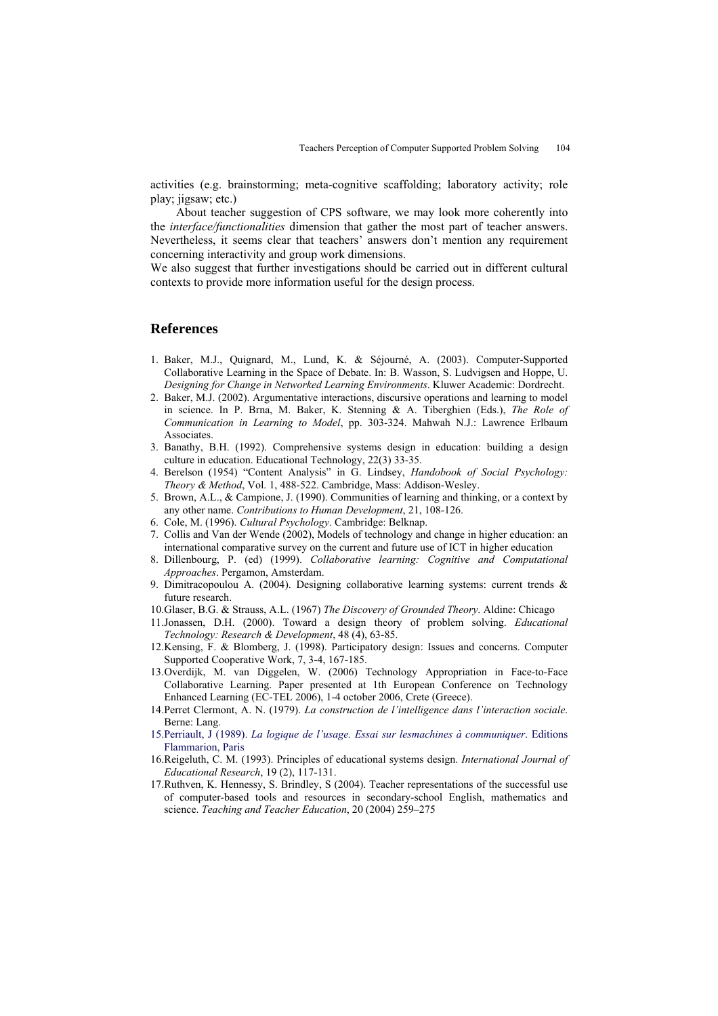activities (e.g. brainstorming; meta-cognitive scaffolding; laboratory activity; role play; jigsaw; etc.)

About teacher suggestion of CPS software, we may look more coherently into the *interface/functionalities* dimension that gather the most part of teacher answers. Nevertheless, it seems clear that teachers' answers don't mention any requirement concerning interactivity and group work dimensions.

We also suggest that further investigations should be carried out in different cultural contexts to provide more information useful for the design process.

## **References**

- 1. Baker, M.J., Quignard, M., Lund, K. & Séjourné, A. (2003). Computer-Supported Collaborative Learning in the Space of Debate. In: B. Wasson, S. Ludvigsen and Hoppe, U. *Designing for Change in Networked Learning Environments*. Kluwer Academic: Dordrecht.
- 2. Baker, M.J. (2002). Argumentative interactions, discursive operations and learning to model in science. In P. Brna, M. Baker, K. Stenning & A. Tiberghien (Eds.), *The Role of Communication in Learning to Model*, pp. 303-324. Mahwah N.J.: Lawrence Erlbaum **Associates**
- 3. Banathy, B.H. (1992). Comprehensive systems design in education: building a design culture in education. Educational Technology, 22(3) 33-35.
- 4. Berelson (1954) "Content Analysis" in G. Lindsey, *Handobook of Social Psychology: Theory & Method*, Vol. 1, 488-522. Cambridge, Mass: Addison-Wesley.
- 5. Brown, A.L., & Campione, J. (1990). Communities of learning and thinking, or a context by any other name. *Contributions to Human Development*, 21, 108-126.
- 6. Cole, M. (1996). *Cultural Psychology*. Cambridge: Belknap.
- 7. Collis and Van der Wende (2002), Models of technology and change in higher education: an international comparative survey on the current and future use of ICT in higher education
- 8. Dillenbourg, P. (ed) (1999). *Collaborative learning: Cognitive and Computational Approaches*. Pergamon, Amsterdam.
- 9. Dimitracopoulou A. (2004). Designing collaborative learning systems: current trends & future research.
- 10. Glaser, B.G. & Strauss, A.L. (1967) *The Discovery of Grounded Theory*. Aldine: Chicago
- 11. Jonassen, D.H. (2000). Toward a design theory of problem solving. *Educational Technology: Research & Development*, 48 (4), 63-85.
- 12. Kensing, F. & Blomberg, J. (1998). Participatory design: Issues and concerns. Computer Supported Cooperative Work, 7, 3-4, 167-185.
- 13. Overdijk, M. van Diggelen, W. (2006) Technology Appropriation in Face-to-Face Collaborative Learning. Paper presented at 1th European Conference on Technology Enhanced Learning (EC-TEL 2006), 1-4 october 2006, Crete (Greece).
- 14.Perret Clermont, A. N. (1979). *La construction de l'intelligence dans l'interaction sociale*. Berne: Lang.
- 15.Perriault, J (1989). *La logique de l'usage. Essai sur lesmachines à communiquer*. Editions Flammarion, Paris
- 16.Reigeluth, C. M. (1993). Principles of educational systems design. *International Journal of Educational Research*, 19 (2), 117-131.
- 17.Ruthven, K. Hennessy, S. Brindley, S (2004). Teacher representations of the successful use of computer-based tools and resources in secondary-school English, mathematics and science. *Teaching and Teacher Education*, 20 (2004) 259–275